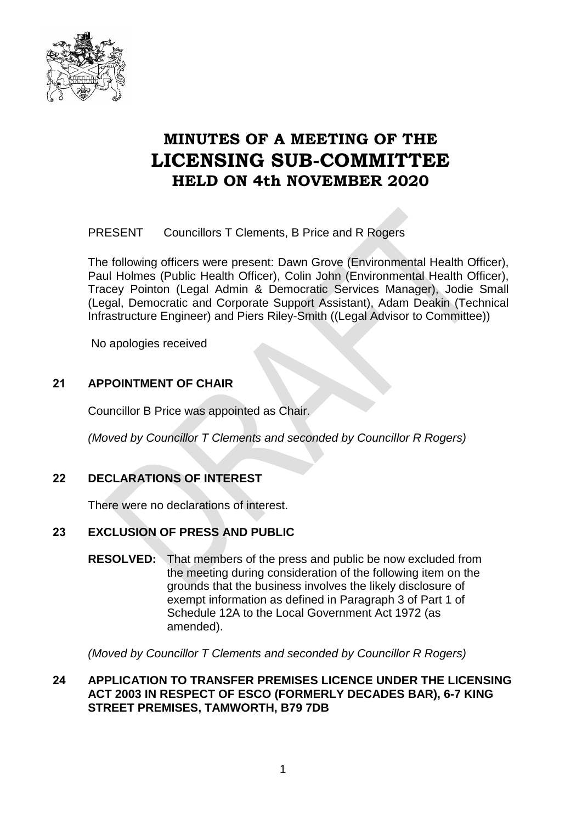

# **MINUTES OF A MEETING OF THE LICENSING SUB-COMMITTEE HELD ON 4th NOVEMBER 2020**

PRESENT Councillors T Clements, B Price and R Rogers

The following officers were present: Dawn Grove (Environmental Health Officer), Paul Holmes (Public Health Officer), Colin John (Environmental Health Officer), Tracey Pointon (Legal Admin & Democratic Services Manager), Jodie Small (Legal, Democratic and Corporate Support Assistant), Adam Deakin (Technical Infrastructure Engineer) and Piers Riley-Smith ((Legal Advisor to Committee))

No apologies received

## **21 APPOINTMENT OF CHAIR**

Councillor B Price was appointed as Chair.

*(Moved by Councillor T Clements and seconded by Councillor R Rogers)*

# **22 DECLARATIONS OF INTEREST**

There were no declarations of interest.

#### **23 EXCLUSION OF PRESS AND PUBLIC**

**RESOLVED:** That members of the press and public be now excluded from the meeting during consideration of the following item on the grounds that the business involves the likely disclosure of exempt information as defined in Paragraph 3 of Part 1 of Schedule 12A to the Local Government Act 1972 (as amended).

*(Moved by Councillor T Clements and seconded by Councillor R Rogers)*

#### **24 APPLICATION TO TRANSFER PREMISES LICENCE UNDER THE LICENSING ACT 2003 IN RESPECT OF ESCO (FORMERLY DECADES BAR), 6-7 KING STREET PREMISES, TAMWORTH, B79 7DB**